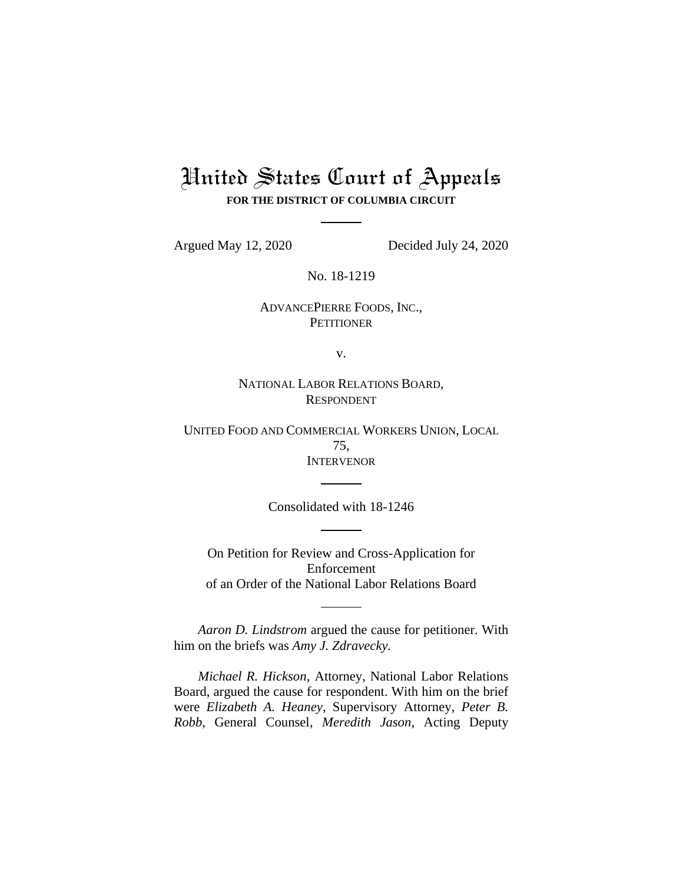## United States Court of Appeals **FOR THE DISTRICT OF COLUMBIA CIRCUIT**

Argued May 12, 2020 Decided July 24, 2020

No. 18-1219

ADVANCEPIERRE FOODS, INC., **PETITIONER** 

v.

NATIONAL LABOR RELATIONS BOARD, RESPONDENT

UNITED FOOD AND COMMERCIAL WORKERS UNION, LOCAL 75, INTERVENOR

Consolidated with 18-1246

On Petition for Review and Cross-Application for Enforcement of an Order of the National Labor Relations Board

*Aaron D. Lindstrom* argued the cause for petitioner. With him on the briefs was *Amy J. Zdravecky.*

*Michael R. Hickson*, Attorney, National Labor Relations Board, argued the cause for respondent. With him on the brief were *Elizabeth A. Heaney*, Supervisory Attorney, *Peter B. Robb*, General Counsel, *Meredith Jason*, Acting Deputy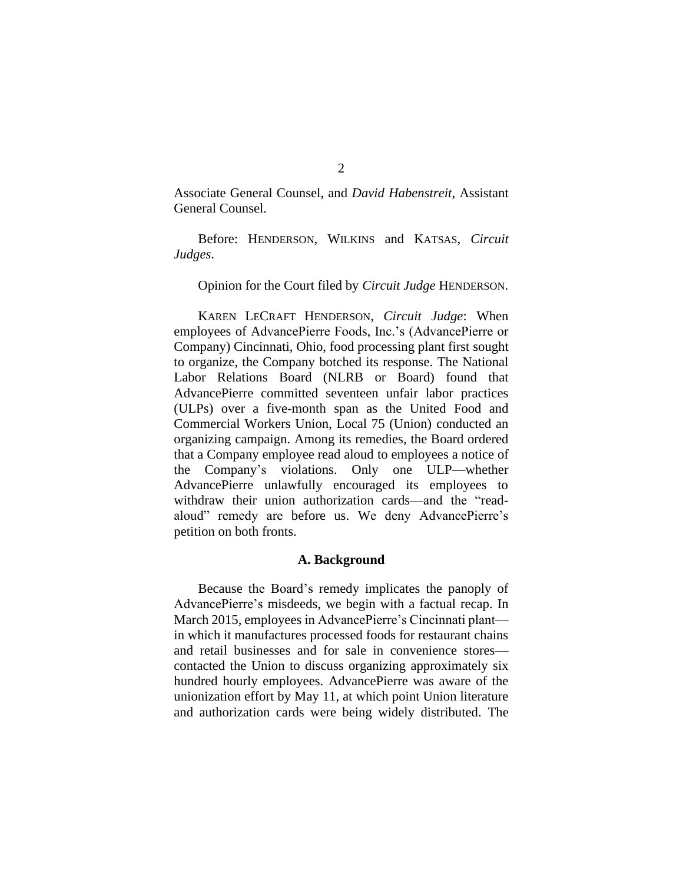Associate General Counsel, and *David Habenstreit*, Assistant General Counsel.

Before: HENDERSON, WILKINS and KATSAS, *Circuit Judges*.

## Opinion for the Court filed by *Circuit Judge* HENDERSON.

KAREN LECRAFT HENDERSON, *Circuit Judge*: When employees of AdvancePierre Foods, Inc.'s (AdvancePierre or Company) Cincinnati, Ohio, food processing plant first sought to organize, the Company botched its response. The National Labor Relations Board (NLRB or Board) found that AdvancePierre committed seventeen unfair labor practices (ULPs) over a five-month span as the United Food and Commercial Workers Union, Local 75 (Union) conducted an organizing campaign. Among its remedies, the Board ordered that a Company employee read aloud to employees a notice of the Company's violations. Only one ULP—whether AdvancePierre unlawfully encouraged its employees to withdraw their union authorization cards—and the "readaloud" remedy are before us. We deny AdvancePierre's petition on both fronts.

## **A. Background**

Because the Board's remedy implicates the panoply of AdvancePierre's misdeeds, we begin with a factual recap. In March 2015, employees in AdvancePierre's Cincinnati plant in which it manufactures processed foods for restaurant chains and retail businesses and for sale in convenience stores contacted the Union to discuss organizing approximately six hundred hourly employees. AdvancePierre was aware of the unionization effort by May 11, at which point Union literature and authorization cards were being widely distributed. The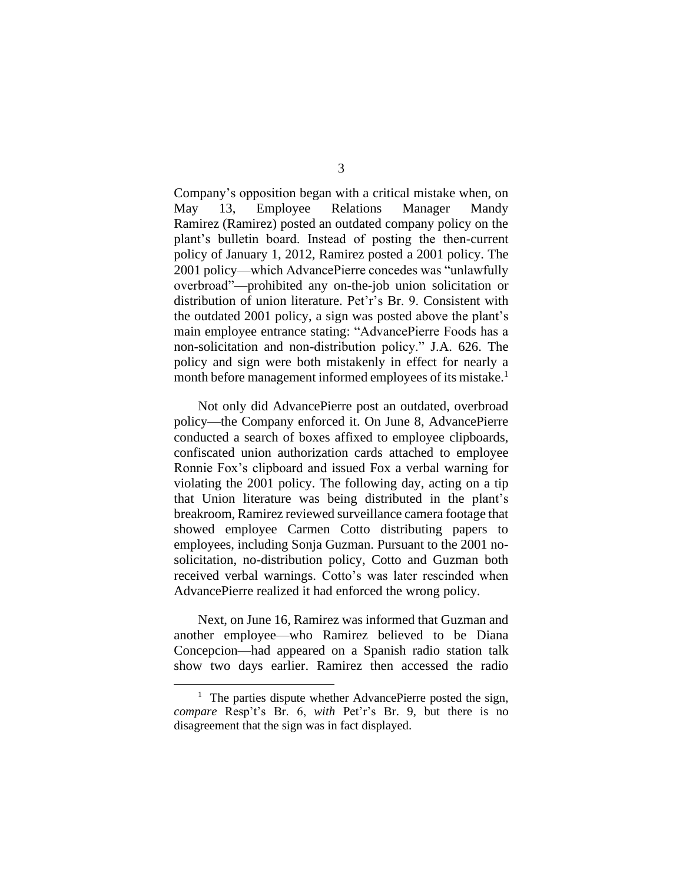Company's opposition began with a critical mistake when, on May 13, Employee Relations Manager Mandy Ramirez (Ramirez) posted an outdated company policy on the plant's bulletin board. Instead of posting the then-current policy of January 1, 2012, Ramirez posted a 2001 policy. The 2001 policy—which AdvancePierre concedes was "unlawfully overbroad"—prohibited any on-the-job union solicitation or distribution of union literature. Pet'r's Br. 9. Consistent with the outdated 2001 policy, a sign was posted above the plant's main employee entrance stating: "AdvancePierre Foods has a non-solicitation and non-distribution policy." J.A. 626. The policy and sign were both mistakenly in effect for nearly a month before management informed employees of its mistake.<sup>1</sup>

Not only did AdvancePierre post an outdated, overbroad policy—the Company enforced it. On June 8, AdvancePierre conducted a search of boxes affixed to employee clipboards, confiscated union authorization cards attached to employee Ronnie Fox's clipboard and issued Fox a verbal warning for violating the 2001 policy. The following day, acting on a tip that Union literature was being distributed in the plant's breakroom, Ramirez reviewed surveillance camera footage that showed employee Carmen Cotto distributing papers to employees, including Sonja Guzman. Pursuant to the 2001 nosolicitation, no-distribution policy, Cotto and Guzman both received verbal warnings. Cotto's was later rescinded when AdvancePierre realized it had enforced the wrong policy.

Next, on June 16, Ramirez was informed that Guzman and another employee—who Ramirez believed to be Diana Concepcion—had appeared on a Spanish radio station talk show two days earlier. Ramirez then accessed the radio

<sup>&</sup>lt;sup>1</sup> The parties dispute whether AdvancePierre posted the sign, *compare* Resp't's Br. 6, *with* Pet'r's Br. 9, but there is no disagreement that the sign was in fact displayed.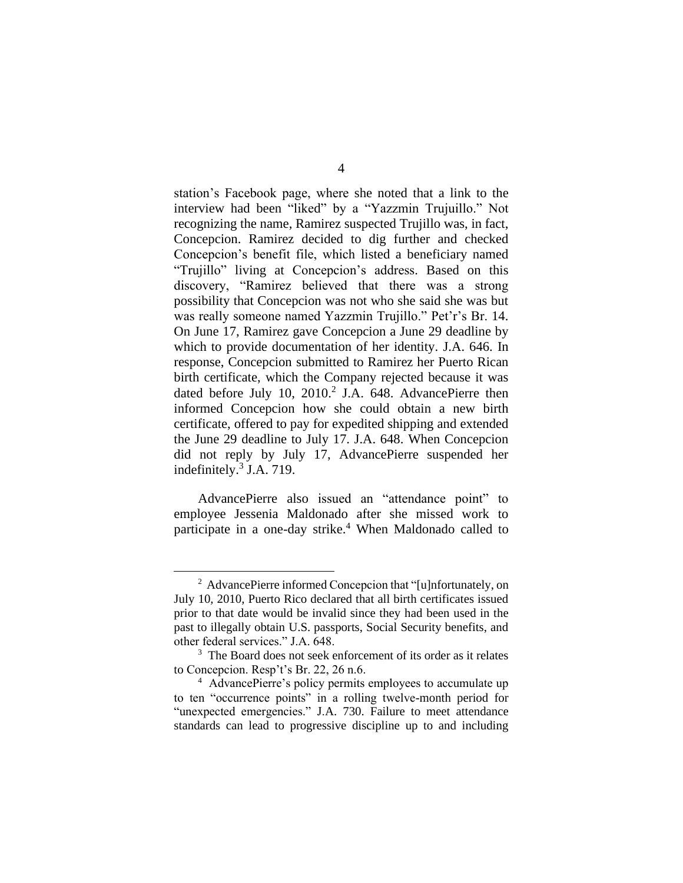station's Facebook page, where she noted that a link to the interview had been "liked" by a "Yazzmin Trujuillo." Not recognizing the name, Ramirez suspected Trujillo was, in fact, Concepcion. Ramirez decided to dig further and checked Concepcion's benefit file, which listed a beneficiary named "Trujillo" living at Concepcion's address. Based on this discovery, "Ramirez believed that there was a strong possibility that Concepcion was not who she said she was but was really someone named Yazzmin Trujillo." Pet'r's Br. 14. On June 17, Ramirez gave Concepcion a June 29 deadline by which to provide documentation of her identity. J.A. 646. In response, Concepcion submitted to Ramirez her Puerto Rican birth certificate, which the Company rejected because it was dated before July 10,  $2010.<sup>2</sup>$  J.A. 648. AdvancePierre then informed Concepcion how she could obtain a new birth certificate, offered to pay for expedited shipping and extended the June 29 deadline to July 17. J.A. 648. When Concepcion did not reply by July 17, AdvancePierre suspended her indefinitely. 3 J.A. 719.

AdvancePierre also issued an "attendance point" to employee Jessenia Maldonado after she missed work to participate in a one-day strike.<sup>4</sup> When Maldonado called to

<sup>&</sup>lt;sup>2</sup> AdvancePierre informed Concepcion that "[u]nfortunately, on July 10, 2010, Puerto Rico declared that all birth certificates issued prior to that date would be invalid since they had been used in the past to illegally obtain U.S. passports, Social Security benefits, and other federal services." J.A. 648.

<sup>&</sup>lt;sup>3</sup> The Board does not seek enforcement of its order as it relates to Concepcion. Resp't's Br. 22, 26 n.6.

<sup>4</sup> AdvancePierre's policy permits employees to accumulate up to ten "occurrence points" in a rolling twelve-month period for "unexpected emergencies." J.A. 730. Failure to meet attendance standards can lead to progressive discipline up to and including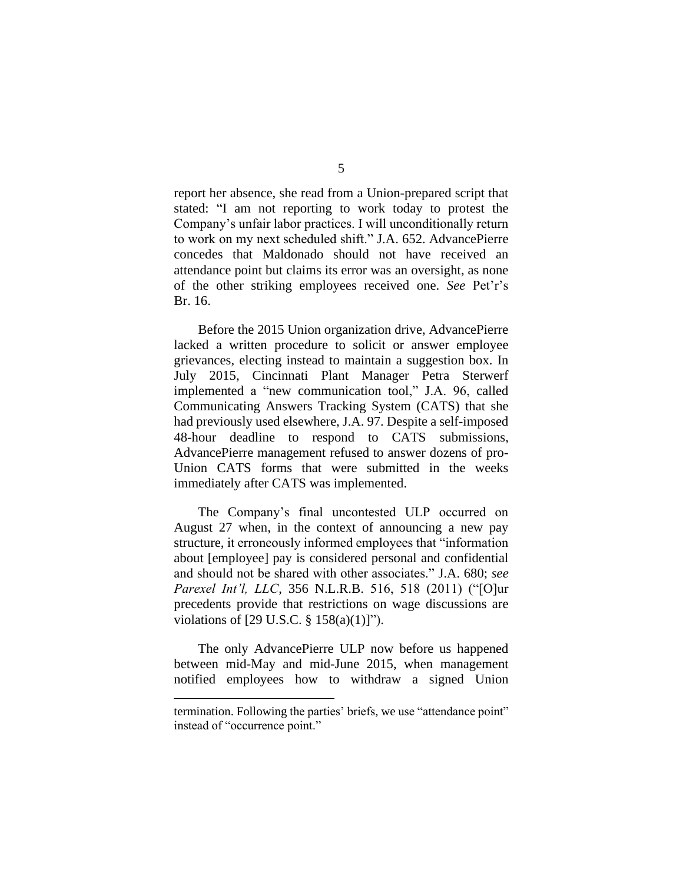report her absence, she read from a Union-prepared script that stated: "I am not reporting to work today to protest the Company's unfair labor practices. I will unconditionally return to work on my next scheduled shift." J.A. 652. AdvancePierre concedes that Maldonado should not have received an attendance point but claims its error was an oversight, as none of the other striking employees received one. *See* Pet'r's Br. 16.

Before the 2015 Union organization drive, AdvancePierre lacked a written procedure to solicit or answer employee grievances, electing instead to maintain a suggestion box. In July 2015, Cincinnati Plant Manager Petra Sterwerf implemented a "new communication tool," J.A. 96, called Communicating Answers Tracking System (CATS) that she had previously used elsewhere, J.A. 97. Despite a self-imposed 48-hour deadline to respond to CATS submissions, AdvancePierre management refused to answer dozens of pro-Union CATS forms that were submitted in the weeks immediately after CATS was implemented.

The Company's final uncontested ULP occurred on August 27 when, in the context of announcing a new pay structure, it erroneously informed employees that "information about [employee] pay is considered personal and confidential and should not be shared with other associates." J.A. 680; *see Parexel Int'l, LLC*, 356 N.L.R.B. 516, 518 (2011) ("[O]ur precedents provide that restrictions on wage discussions are violations of [29 U.S.C. § 158(a)(1)]").

The only AdvancePierre ULP now before us happened between mid-May and mid-June 2015, when management notified employees how to withdraw a signed Union

termination. Following the parties' briefs, we use "attendance point" instead of "occurrence point."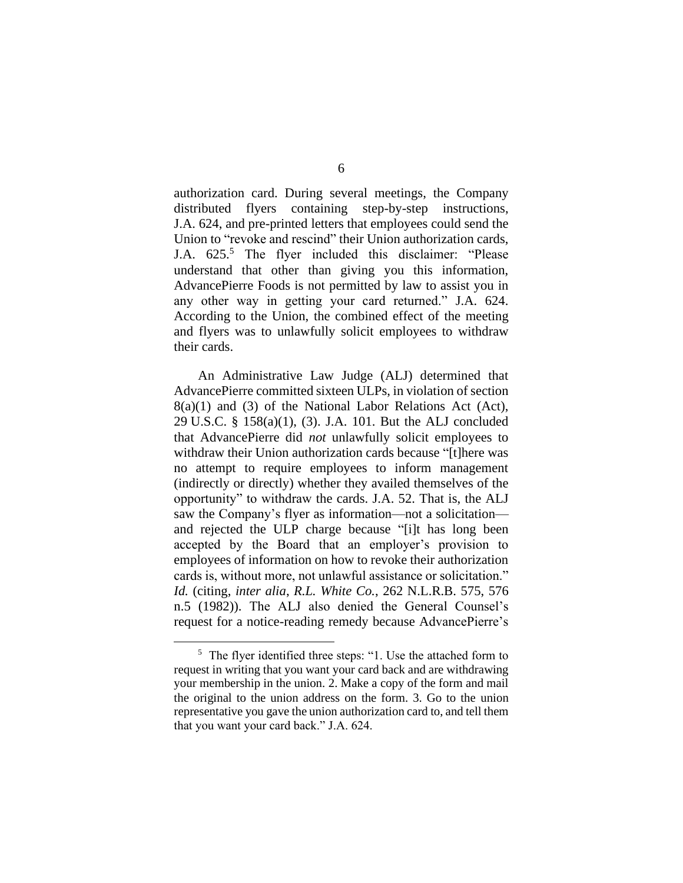authorization card. During several meetings, the Company distributed flyers containing step-by-step instructions, J.A. 624, and pre-printed letters that employees could send the Union to "revoke and rescind" their Union authorization cards, J.A.  $625$ .<sup>5</sup> The flyer included this disclaimer: "Please understand that other than giving you this information, AdvancePierre Foods is not permitted by law to assist you in any other way in getting your card returned." J.A. 624. According to the Union, the combined effect of the meeting and flyers was to unlawfully solicit employees to withdraw their cards.

An Administrative Law Judge (ALJ) determined that AdvancePierre committed sixteen ULPs, in violation of section 8(a)(1) and (3) of the National Labor Relations Act (Act), 29 U.S.C. § 158(a)(1), (3). J.A. 101. But the ALJ concluded that AdvancePierre did *not* unlawfully solicit employees to withdraw their Union authorization cards because "[t]here was no attempt to require employees to inform management (indirectly or directly) whether they availed themselves of the opportunity" to withdraw the cards. J.A. 52. That is, the ALJ saw the Company's flyer as information—not a solicitation and rejected the ULP charge because "[i]t has long been accepted by the Board that an employer's provision to employees of information on how to revoke their authorization cards is, without more, not unlawful assistance or solicitation." *Id.* (citing, *inter alia*, *R.L. White Co.*, 262 N.L.R.B. 575, 576 n.5 (1982)). The ALJ also denied the General Counsel's request for a notice-reading remedy because AdvancePierre's

<sup>&</sup>lt;sup>5</sup> The flyer identified three steps: "1. Use the attached form to request in writing that you want your card back and are withdrawing your membership in the union. 2. Make a copy of the form and mail the original to the union address on the form. 3. Go to the union representative you gave the union authorization card to, and tell them that you want your card back." J.A. 624.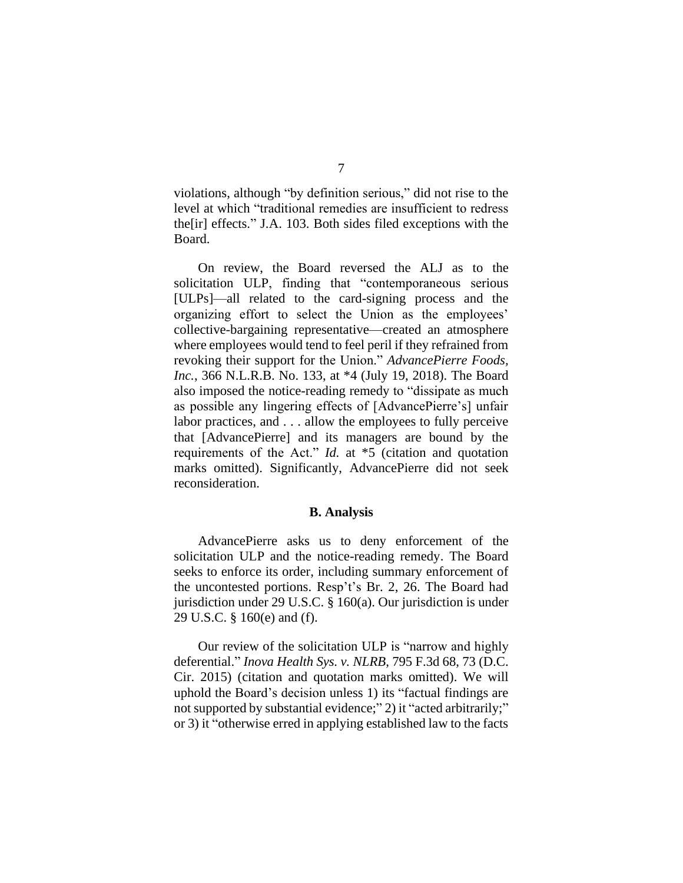violations, although "by definition serious," did not rise to the level at which "traditional remedies are insufficient to redress the[ir] effects." J.A. 103. Both sides filed exceptions with the Board.

On review, the Board reversed the ALJ as to the solicitation ULP, finding that "contemporaneous serious [ULPs]—all related to the card-signing process and the organizing effort to select the Union as the employees' collective-bargaining representative—created an atmosphere where employees would tend to feel peril if they refrained from revoking their support for the Union." *AdvancePierre Foods, Inc.*, 366 N.L.R.B. No. 133, at \*4 (July 19, 2018). The Board also imposed the notice-reading remedy to "dissipate as much as possible any lingering effects of [AdvancePierre's] unfair labor practices, and . . . allow the employees to fully perceive that [AdvancePierre] and its managers are bound by the requirements of the Act." *Id.* at \*5 (citation and quotation marks omitted). Significantly, AdvancePierre did not seek reconsideration.

## **B. Analysis**

AdvancePierre asks us to deny enforcement of the solicitation ULP and the notice-reading remedy. The Board seeks to enforce its order, including summary enforcement of the uncontested portions. Resp't's Br. 2, 26. The Board had jurisdiction under 29 U.S.C. § 160(a). Our jurisdiction is under 29 U.S.C. § 160(e) and (f).

Our review of the solicitation ULP is "narrow and highly deferential." *Inova Health Sys. v. NLRB*, 795 F.3d 68, 73 (D.C. Cir. 2015) (citation and quotation marks omitted). We will uphold the Board's decision unless 1) its "factual findings are not supported by substantial evidence;" 2) it "acted arbitrarily;" or 3) it "otherwise erred in applying established law to the facts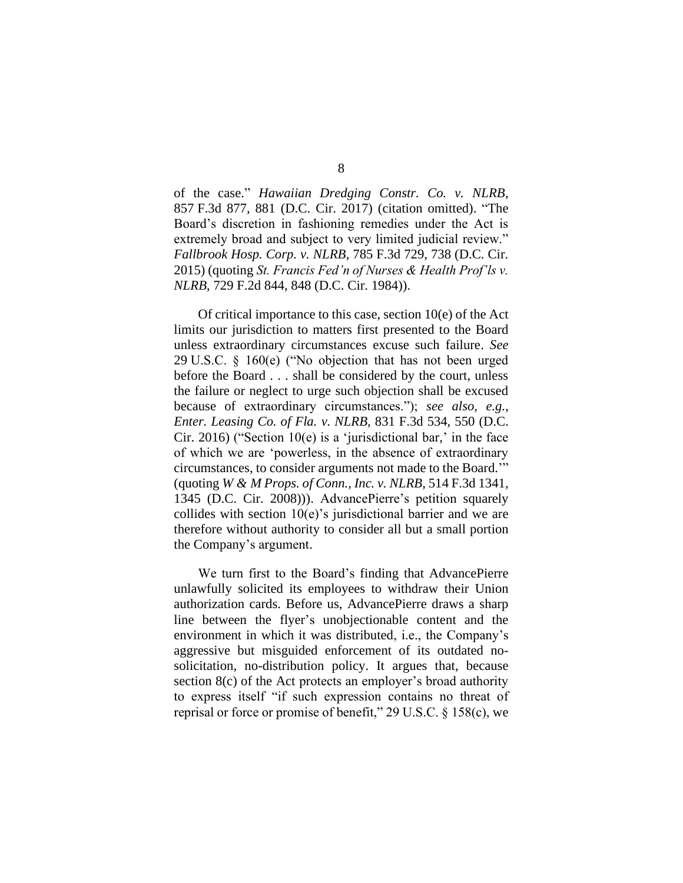of the case." *Hawaiian Dredging Constr. Co. v. NLRB*, 857 F.3d 877, 881 (D.C. Cir. 2017) (citation omitted). "The Board's discretion in fashioning remedies under the Act is extremely broad and subject to very limited judicial review." *Fallbrook Hosp. Corp. v. NLRB*, 785 F.3d 729, 738 (D.C. Cir. 2015) (quoting *St. Francis Fed'n of Nurses & Health Prof'ls v. NLRB*, 729 F.2d 844, 848 (D.C. Cir. 1984)).

Of critical importance to this case, section 10(e) of the Act limits our jurisdiction to matters first presented to the Board unless extraordinary circumstances excuse such failure. *See* 29 U.S.C. § 160(e) ("No objection that has not been urged before the Board . . . shall be considered by the court, unless the failure or neglect to urge such objection shall be excused because of extraordinary circumstances."); *see also, e.g.*, *Enter. Leasing Co. of Fla. v. NLRB*, 831 F.3d 534, 550 (D.C. Cir. 2016) ("Section  $10(e)$  is a 'jurisdictional bar,' in the face of which we are 'powerless, in the absence of extraordinary circumstances, to consider arguments not made to the Board.'" (quoting *W & M Props. of Conn., Inc. v. NLRB*, 514 F.3d 1341, 1345 (D.C. Cir. 2008))). AdvancePierre's petition squarely collides with section  $10(e)$ 's jurisdictional barrier and we are therefore without authority to consider all but a small portion the Company's argument.

We turn first to the Board's finding that AdvancePierre unlawfully solicited its employees to withdraw their Union authorization cards. Before us, AdvancePierre draws a sharp line between the flyer's unobjectionable content and the environment in which it was distributed, i.e., the Company's aggressive but misguided enforcement of its outdated nosolicitation, no-distribution policy. It argues that, because section 8(c) of the Act protects an employer's broad authority to express itself "if such expression contains no threat of reprisal or force or promise of benefit," 29 U.S.C. § 158(c), we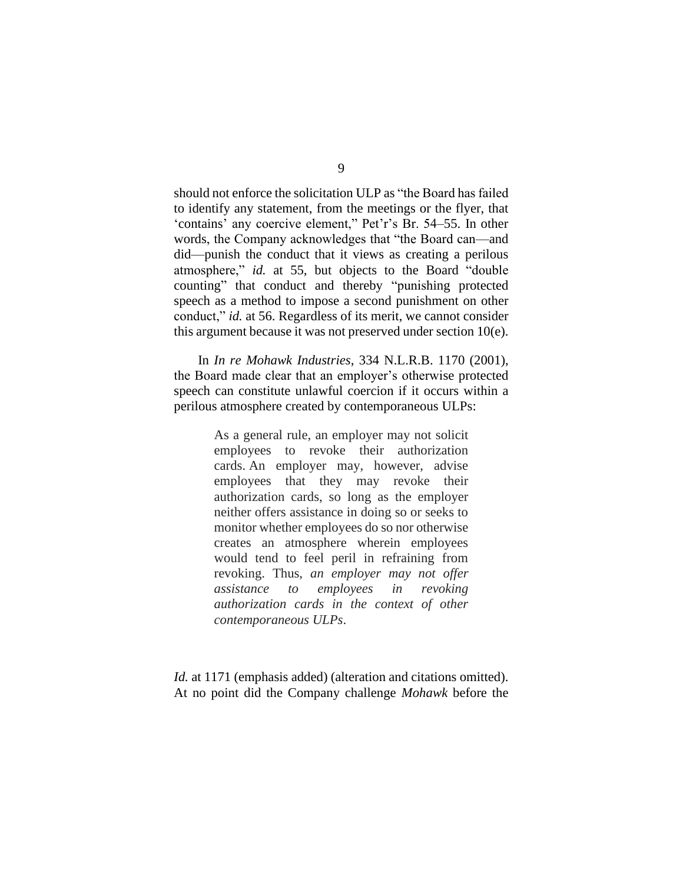should not enforce the solicitation ULP as "the Board has failed to identify any statement, from the meetings or the flyer, that 'contains' any coercive element," Pet'r's Br. 54–55. In other words, the Company acknowledges that "the Board can—and did—punish the conduct that it views as creating a perilous atmosphere," *id.* at 55, but objects to the Board "double counting" that conduct and thereby "punishing protected speech as a method to impose a second punishment on other conduct," *id.* at 56. Regardless of its merit, we cannot consider this argument because it was not preserved under section 10(e).

In *In re Mohawk Industries*, 334 N.L.R.B. 1170 (2001), the Board made clear that an employer's otherwise protected speech can constitute unlawful coercion if it occurs within a perilous atmosphere created by contemporaneous ULPs:

> As a general rule, an employer may not solicit employees to revoke their authorization cards. An employer may, however, advise employees that they may revoke their authorization cards, so long as the employer neither offers assistance in doing so or seeks to monitor whether employees do so nor otherwise creates an atmosphere wherein employees would tend to feel peril in refraining from revoking. Thus, *an employer may not offer assistance to employees in revoking authorization cards in the context of other contemporaneous ULPs*.

*Id.* at 1171 (emphasis added) (alteration and citations omitted). At no point did the Company challenge *Mohawk* before the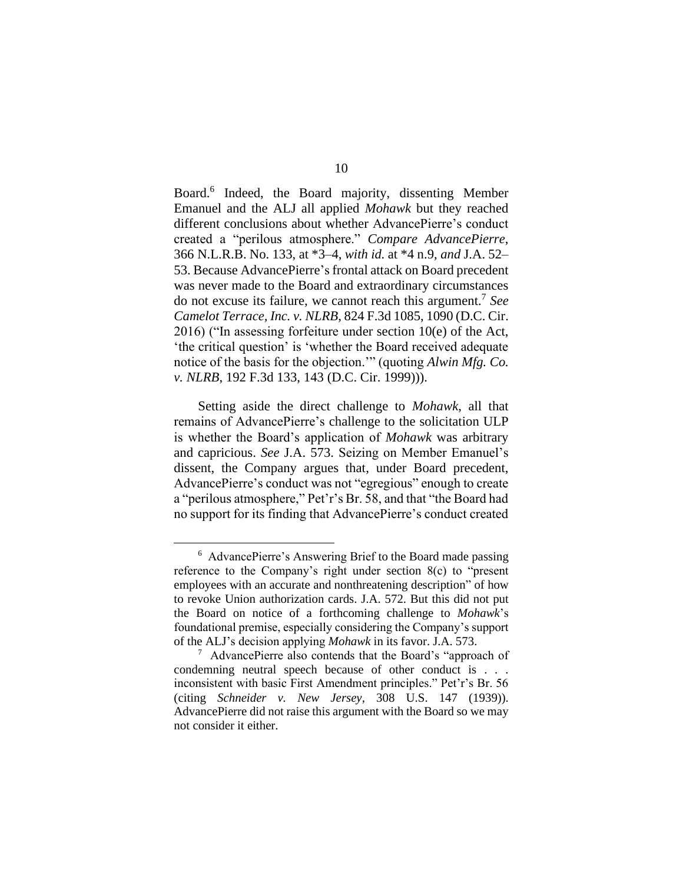Board. 6 Indeed, the Board majority, dissenting Member Emanuel and the ALJ all applied *Mohawk* but they reached different conclusions about whether AdvancePierre's conduct created a "perilous atmosphere." *Compare AdvancePierre*, 366 N.L.R.B. No. 133, at \*3–4, *with id.* at \*4 n.9, *and* J.A. 52– 53. Because AdvancePierre's frontal attack on Board precedent was never made to the Board and extraordinary circumstances do not excuse its failure, we cannot reach this argument. 7 *See Camelot Terrace, Inc. v. NLRB*, 824 F.3d 1085, 1090 (D.C. Cir. 2016) ("In assessing forfeiture under section 10(e) of the Act, 'the critical question' is 'whether the Board received adequate notice of the basis for the objection.'" (quoting *Alwin Mfg. Co. v. NLRB*, 192 F.3d 133, 143 (D.C. Cir. 1999))).

Setting aside the direct challenge to *Mohawk*, all that remains of AdvancePierre's challenge to the solicitation ULP is whether the Board's application of *Mohawk* was arbitrary and capricious. *See* J.A. 573. Seizing on Member Emanuel's dissent, the Company argues that, under Board precedent, AdvancePierre's conduct was not "egregious" enough to create a "perilous atmosphere," Pet'r's Br. 58, and that "the Board had no support for its finding that AdvancePierre's conduct created

<sup>&</sup>lt;sup>6</sup> AdvancePierre's Answering Brief to the Board made passing reference to the Company's right under section 8(c) to "present employees with an accurate and nonthreatening description" of how to revoke Union authorization cards. J.A. 572. But this did not put the Board on notice of a forthcoming challenge to *Mohawk*'s foundational premise, especially considering the Company's support of the ALJ's decision applying *Mohawk* in its favor. J.A. 573.

<sup>&</sup>lt;sup>7</sup> AdvancePierre also contends that the Board's "approach of condemning neutral speech because of other conduct is . . . inconsistent with basic First Amendment principles." Pet'r's Br. 56 (citing *Schneider v. New Jersey*, 308 U.S. 147 (1939)). AdvancePierre did not raise this argument with the Board so we may not consider it either.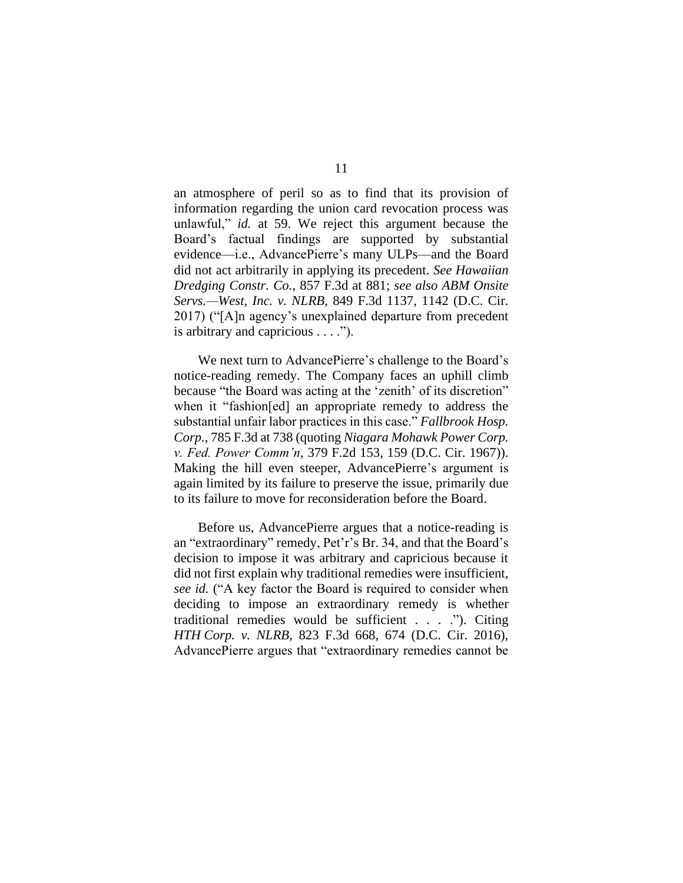an atmosphere of peril so as to find that its provision of information regarding the union card revocation process was unlawful," *id.* at 59. We reject this argument because the Board's factual findings are supported by substantial evidence—i.e., AdvancePierre's many ULPs—and the Board did not act arbitrarily in applying its precedent. *See Hawaiian Dredging Constr. Co.*, 857 F.3d at 881; *see also ABM Onsite Servs.—West, Inc. v. NLRB*, 849 F.3d 1137, 1142 (D.C. Cir. 2017) ("[A]n agency's unexplained departure from precedent is arbitrary and capricious . . . .").

We next turn to AdvancePierre's challenge to the Board's notice-reading remedy. The Company faces an uphill climb because "the Board was acting at the 'zenith' of its discretion" when it "fashion[ed] an appropriate remedy to address the substantial unfair labor practices in this case." *Fallbrook Hosp. Corp.*, 785 F.3d at 738 (quoting *Niagara Mohawk Power Corp. v. Fed. Power Comm'n*, 379 F.2d 153, 159 (D.C. Cir. 1967)). Making the hill even steeper, AdvancePierre's argument is again limited by its failure to preserve the issue, primarily due to its failure to move for reconsideration before the Board.

Before us, AdvancePierre argues that a notice-reading is an "extraordinary" remedy, Pet'r's Br. 34, and that the Board's decision to impose it was arbitrary and capricious because it did not first explain why traditional remedies were insufficient, *see id.* ("A key factor the Board is required to consider when deciding to impose an extraordinary remedy is whether traditional remedies would be sufficient . . . ."). Citing *HTH Corp. v. NLRB*, 823 F.3d 668, 674 (D.C. Cir. 2016), AdvancePierre argues that "extraordinary remedies cannot be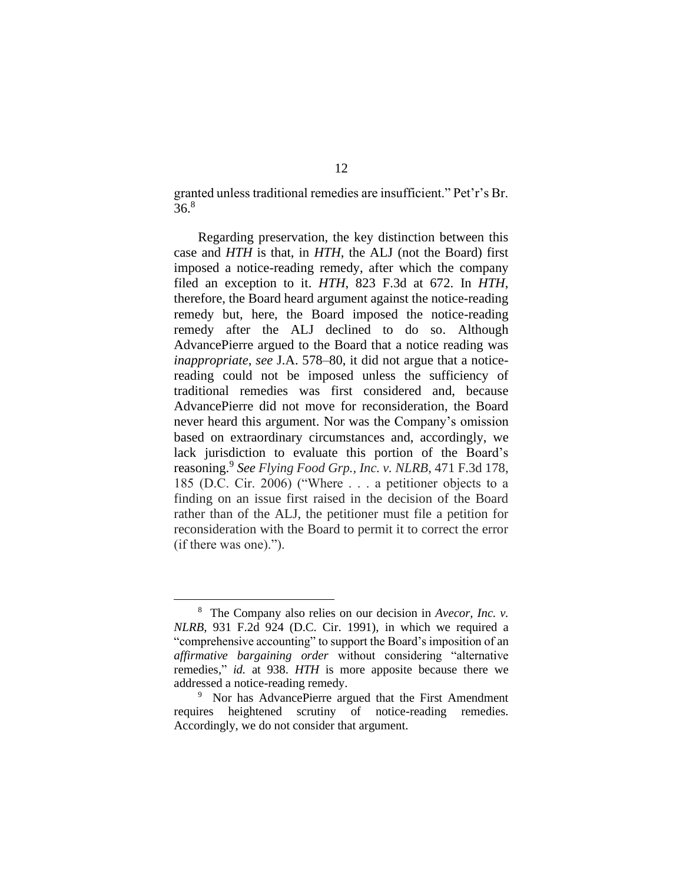granted unless traditional remedies are insufficient." Pet'r's Br.  $36.8$ 

Regarding preservation, the key distinction between this case and *HTH* is that, in *HTH*, the ALJ (not the Board) first imposed a notice-reading remedy, after which the company filed an exception to it. *HTH*, 823 F.3d at 672. In *HTH*, therefore, the Board heard argument against the notice-reading remedy but, here, the Board imposed the notice-reading remedy after the ALJ declined to do so. Although AdvancePierre argued to the Board that a notice reading was *inappropriate*, *see* J.A. 578–80, it did not argue that a noticereading could not be imposed unless the sufficiency of traditional remedies was first considered and, because AdvancePierre did not move for reconsideration, the Board never heard this argument. Nor was the Company's omission based on extraordinary circumstances and, accordingly, we lack jurisdiction to evaluate this portion of the Board's reasoning.<sup>9</sup> *See Flying Food Grp., Inc. v. NLRB*, 471 F.3d 178, 185 (D.C. Cir. 2006) ("Where . . . a petitioner objects to a finding on an issue first raised in the decision of the Board rather than of the ALJ, the petitioner must file a petition for reconsideration with the Board to permit it to correct the error (if there was one).").

<sup>8</sup> The Company also relies on our decision in *Avecor, Inc. v. NLRB*, 931 F.2d 924 (D.C. Cir. 1991), in which we required a "comprehensive accounting" to support the Board's imposition of an *affirmative bargaining order* without considering "alternative remedies," *id.* at 938. *HTH* is more apposite because there we addressed a notice-reading remedy.

<sup>&</sup>lt;sup>9</sup> Nor has AdvancePierre argued that the First Amendment requires heightened scrutiny of notice-reading remedies. Accordingly, we do not consider that argument.